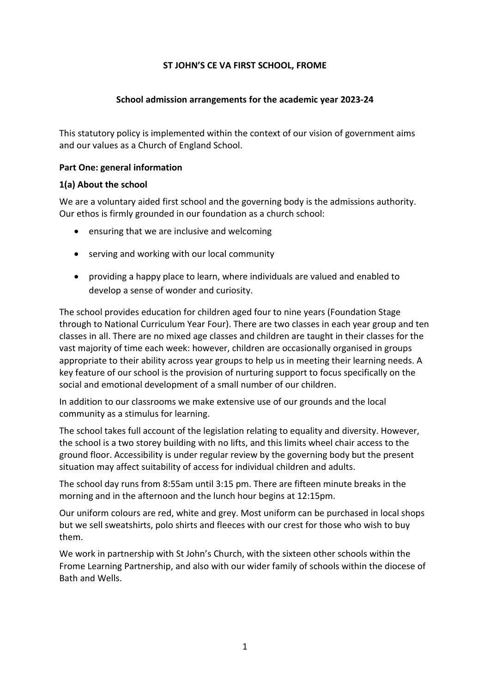### **ST JOHN'S CE VA FIRST SCHOOL, FROME**

### **School admission arrangements for the academic year 2023-24**

This statutory policy is implemented within the context of our vision of government aims and our values as a Church of England School.

### **Part One: general information**

#### **1(a) About the school**

We are a voluntary aided first school and the governing body is the admissions authority. Our ethos is firmly grounded in our foundation as a church school:

- ensuring that we are inclusive and welcoming
- serving and working with our local community
- providing a happy place to learn, where individuals are valued and enabled to develop a sense of wonder and curiosity.

The school provides education for children aged four to nine years (Foundation Stage through to National Curriculum Year Four). There are two classes in each year group and ten classes in all. There are no mixed age classes and children are taught in their classes for the vast majority of time each week: however, children are occasionally organised in groups appropriate to their ability across year groups to help us in meeting their learning needs. A key feature of our school is the provision of nurturing support to focus specifically on the social and emotional development of a small number of our children.

In addition to our classrooms we make extensive use of our grounds and the local community as a stimulus for learning.

The school takes full account of the legislation relating to equality and diversity. However, the school is a two storey building with no lifts, and this limits wheel chair access to the ground floor. Accessibility is under regular review by the governing body but the present situation may affect suitability of access for individual children and adults.

The school day runs from 8:55am until 3:15 pm. There are fifteen minute breaks in the morning and in the afternoon and the lunch hour begins at 12:15pm.

Our uniform colours are red, white and grey. Most uniform can be purchased in local shops but we sell sweatshirts, polo shirts and fleeces with our crest for those who wish to buy them.

We work in partnership with St John's Church, with the sixteen other schools within the Frome Learning Partnership, and also with our wider family of schools within the diocese of Bath and Wells.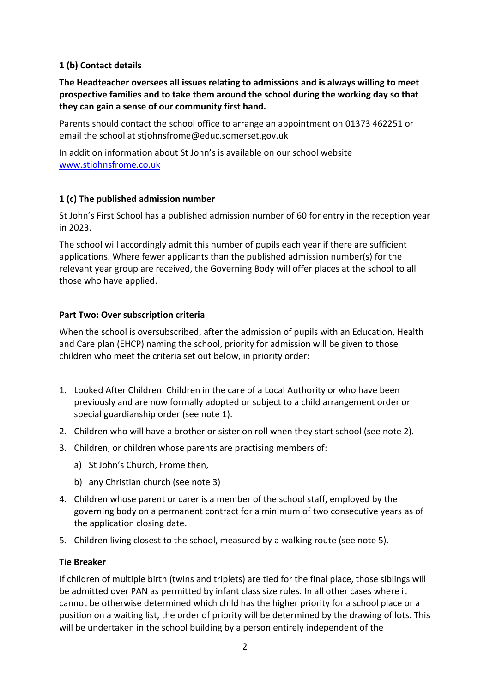# **1 (b) Contact details**

**The Headteacher oversees all issues relating to admissions and is always willing to meet prospective families and to take them around the school during the working day so that they can gain a sense of our community first hand.**

Parents should contact the school office to arrange an appointment on 01373 462251 or email the school at stjohnsfrome@educ.somerset.gov.uk

In addition information about St John's is available on our school website [www.stjohnsfrome.co.uk](http://www.stjohnsfrome.co.uk/)

# **1 (c) The published admission number**

St John's First School has a published admission number of 60 for entry in the reception year in 2023.

The school will accordingly admit this number of pupils each year if there are sufficient applications. Where fewer applicants than the published admission number(s) for the relevant year group are received, the Governing Body will offer places at the school to all those who have applied.

# **Part Two: Over subscription criteria**

When the school is oversubscribed, after the admission of pupils with an Education, Health and Care plan (EHCP) naming the school, priority for admission will be given to those children who meet the criteria set out below, in priority order:

- 1. Looked After Children. Children in the care of a Local Authority or who have been previously and are now formally adopted or subject to a child arrangement order or special guardianship order (see note 1).
- 2. Children who will have a brother or sister on roll when they start school (see note 2).
- 3. Children, or children whose parents are practising members of:
	- a) St John's Church, Frome then,
	- b) any Christian church (see note 3)
- 4. Children whose parent or carer is a member of the school staff, employed by the governing body on a permanent contract for a minimum of two consecutive years as of the application closing date.
- 5. Children living closest to the school, measured by a walking route (see note 5).

# **Tie Breaker**

If children of multiple birth (twins and triplets) are tied for the final place, those siblings will be admitted over PAN as permitted by infant class size rules. In all other cases where it cannot be otherwise determined which child has the higher priority for a school place or a position on a waiting list, the order of priority will be determined by the drawing of lots. This will be undertaken in the school building by a person entirely independent of the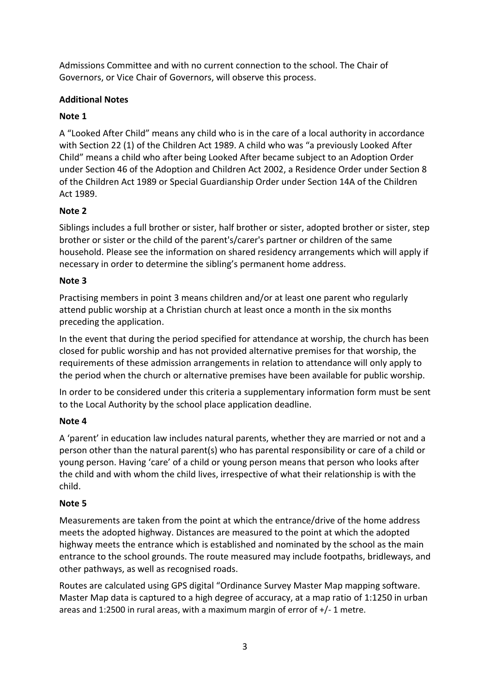Admissions Committee and with no current connection to the school. The Chair of Governors, or Vice Chair of Governors, will observe this process.

# **Additional Notes**

# **Note 1**

A "Looked After Child" means any child who is in the care of a local authority in accordance with Section 22 (1) of the Children Act 1989. A child who was "a previously Looked After Child" means a child who after being Looked After became subject to an Adoption Order under Section 46 of the Adoption and Children Act 2002, a Residence Order under Section 8 of the Children Act 1989 or Special Guardianship Order under Section 14A of the Children Act 1989.

# **Note 2**

Siblings includes a full brother or sister, half brother or sister, adopted brother or sister, step brother or sister or the child of the parent's/carer's partner or children of the same household. Please see the information on shared residency arrangements which will apply if necessary in order to determine the sibling's permanent home address.

# **Note 3**

Practising members in point 3 means children and/or at least one parent who regularly attend public worship at a Christian church at least once a month in the six months preceding the application.

In the event that during the period specified for attendance at worship, the church has been closed for public worship and has not provided alternative premises for that worship, the requirements of these admission arrangements in relation to attendance will only apply to the period when the church or alternative premises have been available for public worship.

In order to be considered under this criteria a supplementary information form must be sent to the Local Authority by the school place application deadline.

# **Note 4**

A 'parent' in education law includes natural parents, whether they are married or not and a person other than the natural parent(s) who has parental responsibility or care of a child or young person. Having 'care' of a child or young person means that person who looks after the child and with whom the child lives, irrespective of what their relationship is with the child.

# **Note 5**

Measurements are taken from the point at which the entrance/drive of the home address meets the adopted highway. Distances are measured to the point at which the adopted highway meets the entrance which is established and nominated by the school as the main entrance to the school grounds. The route measured may include footpaths, bridleways, and other pathways, as well as recognised roads.

Routes are calculated using GPS digital "Ordinance Survey Master Map mapping software. Master Map data is captured to a high degree of accuracy, at a map ratio of 1:1250 in urban areas and 1:2500 in rural areas, with a maximum margin of error of +/- 1 metre.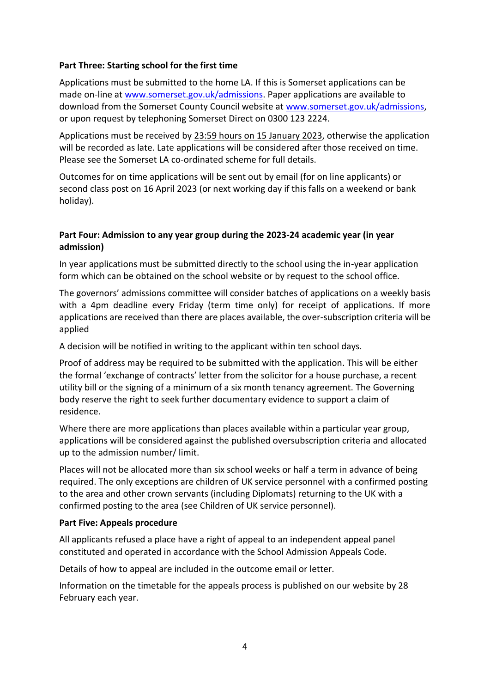### **Part Three: Starting school for the first time**

Applications must be submitted to the home LA. If this is Somerset applications can be made on-line at [www.somerset.gov.uk/admissions.](http://www.somerset.gov.uk/admissions) Paper applications are available to download from the Somerset County Council website at [www.somerset.gov.uk/admissions,](http://www.somerset.gov.uk/admissions) or upon request by telephoning Somerset Direct on 0300 123 2224.

Applications must be received by 23:59 hours on 15 January 2023, otherwise the application will be recorded as late. Late applications will be considered after those received on time. Please see the Somerset LA co-ordinated scheme for full details.

Outcomes for on time applications will be sent out by email (for on line applicants) or second class post on 16 April 2023 (or next working day if this falls on a weekend or bank holiday).

### **Part Four: Admission to any year group during the 2023-24 academic year (in year admission)**

In year applications must be submitted directly to the school using the in-year application form which can be obtained on the school website or by request to the school office.

The governors' admissions committee will consider batches of applications on a weekly basis with a 4pm deadline every Friday (term time only) for receipt of applications. If more applications are received than there are places available, the over-subscription criteria will be applied

A decision will be notified in writing to the applicant within ten school days.

Proof of address may be required to be submitted with the application. This will be either the formal 'exchange of contracts' letter from the solicitor for a house purchase, a recent utility bill or the signing of a minimum of a six month tenancy agreement. The Governing body reserve the right to seek further documentary evidence to support a claim of residence.

Where there are more applications than places available within a particular year group, applications will be considered against the published oversubscription criteria and allocated up to the admission number/ limit.

Places will not be allocated more than six school weeks or half a term in advance of being required. The only exceptions are children of UK service personnel with a confirmed posting to the area and other crown servants (including Diplomats) returning to the UK with a confirmed posting to the area (see Children of UK service personnel).

#### **Part Five: Appeals procedure**

All applicants refused a place have a right of appeal to an independent appeal panel constituted and operated in accordance with the School Admission Appeals Code.

Details of how to appeal are included in the outcome email or letter.

Information on the timetable for the appeals process is published on our website by 28 February each year.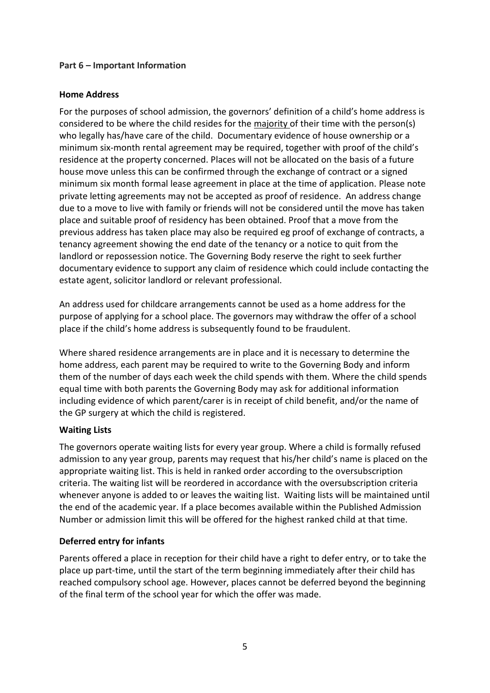### **Part 6 – Important Information**

### **Home Address**

For the purposes of school admission, the governors' definition of a child's home address is considered to be where the child resides for the majority of their time with the person(s) who legally has/have care of the child. Documentary evidence of house ownership or a minimum six-month rental agreement may be required, together with proof of the child's residence at the property concerned. Places will not be allocated on the basis of a future house move unless this can be confirmed through the exchange of contract or a signed minimum six month formal lease agreement in place at the time of application. Please note private letting agreements may not be accepted as proof of residence. An address change due to a move to live with family or friends will not be considered until the move has taken place and suitable proof of residency has been obtained. Proof that a move from the previous address has taken place may also be required eg proof of exchange of contracts, a tenancy agreement showing the end date of the tenancy or a notice to quit from the landlord or repossession notice. The Governing Body reserve the right to seek further documentary evidence to support any claim of residence which could include contacting the estate agent, solicitor landlord or relevant professional.

An address used for childcare arrangements cannot be used as a home address for the purpose of applying for a school place. The governors may withdraw the offer of a school place if the child's home address is subsequently found to be fraudulent.

Where shared residence arrangements are in place and it is necessary to determine the home address, each parent may be required to write to the Governing Body and inform them of the number of days each week the child spends with them. Where the child spends equal time with both parents the Governing Body may ask for additional information including evidence of which parent/carer is in receipt of child benefit, and/or the name of the GP surgery at which the child is registered.

#### **Waiting Lists**

The governors operate waiting lists for every year group. Where a child is formally refused admission to any year group, parents may request that his/her child's name is placed on the appropriate waiting list. This is held in ranked order according to the oversubscription criteria. The waiting list will be reordered in accordance with the oversubscription criteria whenever anyone is added to or leaves the waiting list. Waiting lists will be maintained until the end of the academic year. If a place becomes available within the Published Admission Number or admission limit this will be offered for the highest ranked child at that time.

# **Deferred entry for infants**

Parents offered a place in reception for their child have a right to defer entry, or to take the place up part-time, until the start of the term beginning immediately after their child has reached compulsory school age. However, places cannot be deferred beyond the beginning of the final term of the school year for which the offer was made.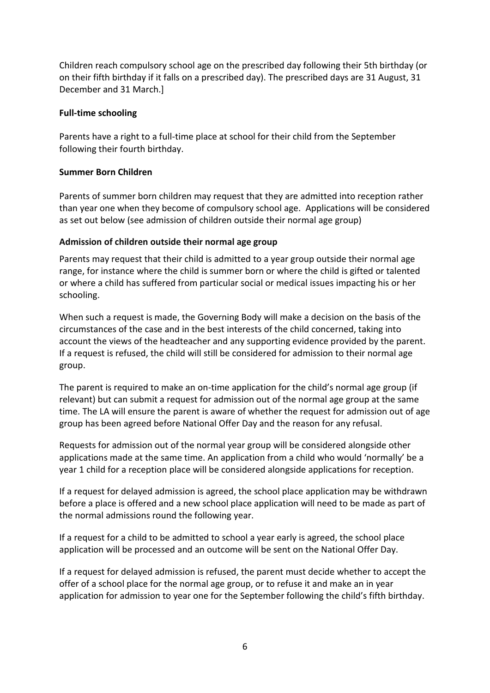Children reach compulsory school age on the prescribed day following their 5th birthday (or on their fifth birthday if it falls on a prescribed day). The prescribed days are 31 August, 31 December and 31 March.]

### **Full-time schooling**

Parents have a right to a full-time place at school for their child from the September following their fourth birthday.

### **Summer Born Children**

Parents of summer born children may request that they are admitted into reception rather than year one when they become of compulsory school age. Applications will be considered as set out below (see admission of children outside their normal age group)

### **Admission of children outside their normal age group**

Parents may request that their child is admitted to a year group outside their normal age range, for instance where the child is summer born or where the child is gifted or talented or where a child has suffered from particular social or medical issues impacting his or her schooling.

When such a request is made, the Governing Body will make a decision on the basis of the circumstances of the case and in the best interests of the child concerned, taking into account the views of the headteacher and any supporting evidence provided by the parent. If a request is refused, the child will still be considered for admission to their normal age group.

The parent is required to make an on-time application for the child's normal age group (if relevant) but can submit a request for admission out of the normal age group at the same time. The LA will ensure the parent is aware of whether the request for admission out of age group has been agreed before National Offer Day and the reason for any refusal.

Requests for admission out of the normal year group will be considered alongside other applications made at the same time. An application from a child who would 'normally' be a year 1 child for a reception place will be considered alongside applications for reception.

If a request for delayed admission is agreed, the school place application may be withdrawn before a place is offered and a new school place application will need to be made as part of the normal admissions round the following year.

If a request for a child to be admitted to school a year early is agreed, the school place application will be processed and an outcome will be sent on the National Offer Day.

If a request for delayed admission is refused, the parent must decide whether to accept the offer of a school place for the normal age group, or to refuse it and make an in year application for admission to year one for the September following the child's fifth birthday.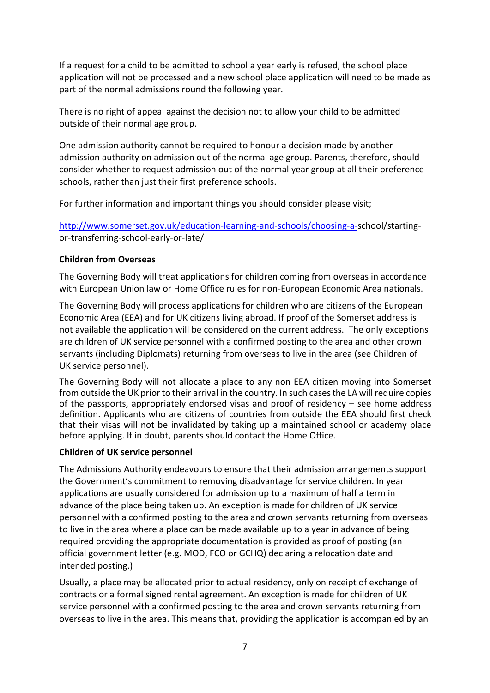If a request for a child to be admitted to school a year early is refused, the school place application will not be processed and a new school place application will need to be made as part of the normal admissions round the following year.

There is no right of appeal against the decision not to allow your child to be admitted outside of their normal age group.

One admission authority cannot be required to honour a decision made by another admission authority on admission out of the normal age group. Parents, therefore, should consider whether to request admission out of the normal year group at all their preference schools, rather than just their first preference schools.

For further information and important things you should consider please visit;

[http://www.somerset.gov.uk/education-learning-and-schools/choosing-a-s](http://www.somerset.gov.uk/education-learning-and-schools/choosing-a-)chool/startingor-transferring-school-early-or-late/

### **Children from Overseas**

The Governing Body will treat applications for children coming from overseas in accordance with European Union law or Home Office rules for non-European Economic Area nationals.

The Governing Body will process applications for children who are citizens of the European Economic Area (EEA) and for UK citizens living abroad. If proof of the Somerset address is not available the application will be considered on the current address. The only exceptions are children of UK service personnel with a confirmed posting to the area and other crown servants (including Diplomats) returning from overseas to live in the area (see Children of UK service personnel).

The Governing Body will not allocate a place to any non EEA citizen moving into Somerset from outside the UK prior to their arrival in the country. In such cases the LA will require copies of the passports, appropriately endorsed visas and proof of residency – see home address definition. Applicants who are citizens of countries from outside the EEA should first check that their visas will not be invalidated by taking up a maintained school or academy place before applying. If in doubt, parents should contact the Home Office.

# **Children of UK service personnel**

The Admissions Authority endeavours to ensure that their admission arrangements support the Government's commitment to removing disadvantage for service children. In year applications are usually considered for admission up to a maximum of half a term in advance of the place being taken up. An exception is made for children of UK service personnel with a confirmed posting to the area and crown servants returning from overseas to live in the area where a place can be made available up to a year in advance of being required providing the appropriate documentation is provided as proof of posting (an official government letter (e.g. MOD, FCO or GCHQ) declaring a relocation date and intended posting.)

Usually, a place may be allocated prior to actual residency, only on receipt of exchange of contracts or a formal signed rental agreement. An exception is made for children of UK service personnel with a confirmed posting to the area and crown servants returning from overseas to live in the area. This means that, providing the application is accompanied by an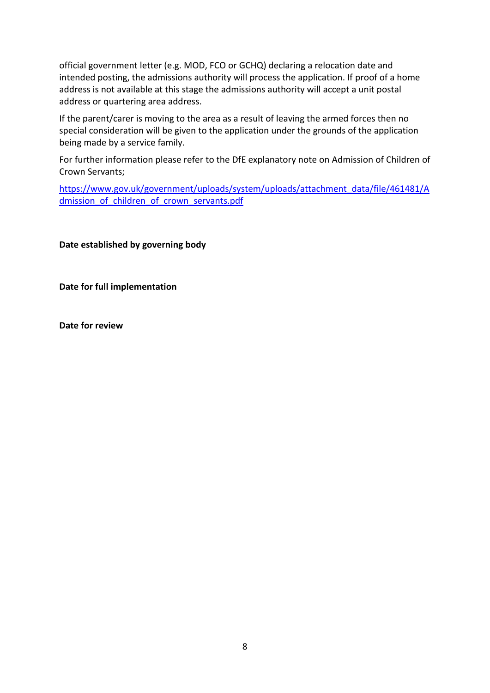official government letter (e.g. MOD, FCO or GCHQ) declaring a relocation date and intended posting, the admissions authority will process the application. If proof of a home address is not available at this stage the admissions authority will accept a unit postal address or quartering area address.

If the parent/carer is moving to the area as a result of leaving the armed forces then no special consideration will be given to the application under the grounds of the application being made by a service family.

For further information please refer to the DfE explanatory note on Admission of Children of Crown Servants;

[https://www.gov.uk/government/uploads/system/uploads/attachment\\_data/file/461481/A](https://www.gov.uk/government/uploads/system/uploads/attachment_data/file/461481/Admission_of_children_of_crown_servants.pdf) dmission of children of crown servants.pdf

**Date established by governing body**

**Date for full implementation**

**Date for review**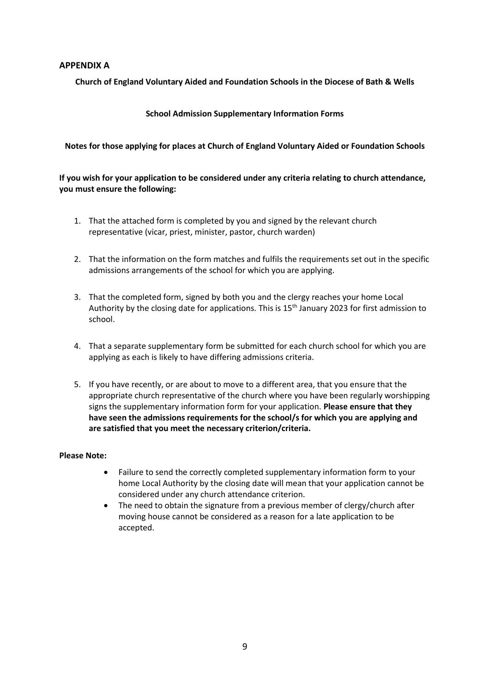#### **APPENDIX A**

**Church of England Voluntary Aided and Foundation Schools in the Diocese of Bath & Wells**

#### **School Admission Supplementary Information Forms**

#### **Notes for those applying for places at Church of England Voluntary Aided or Foundation Schools**

#### **If you wish for your application to be considered under any criteria relating to church attendance, you must ensure the following:**

- 1. That the attached form is completed by you and signed by the relevant church representative (vicar, priest, minister, pastor, church warden)
- 2. That the information on the form matches and fulfils the requirements set out in the specific admissions arrangements of the school for which you are applying.
- 3. That the completed form, signed by both you and the clergy reaches your home Local Authority by the closing date for applications. This is 15<sup>th</sup> January 2023 for first admission to school.
- 4. That a separate supplementary form be submitted for each church school for which you are applying as each is likely to have differing admissions criteria.
- 5. If you have recently, or are about to move to a different area, that you ensure that the appropriate church representative of the church where you have been regularly worshipping signs the supplementary information form for your application. **Please ensure that they have seen the admissions requirements for the school/s for which you are applying and are satisfied that you meet the necessary criterion/criteria.**

#### **Please Note:**

- Failure to send the correctly completed supplementary information form to your home Local Authority by the closing date will mean that your application cannot be considered under any church attendance criterion.
- The need to obtain the signature from a previous member of clergy/church after moving house cannot be considered as a reason for a late application to be accepted.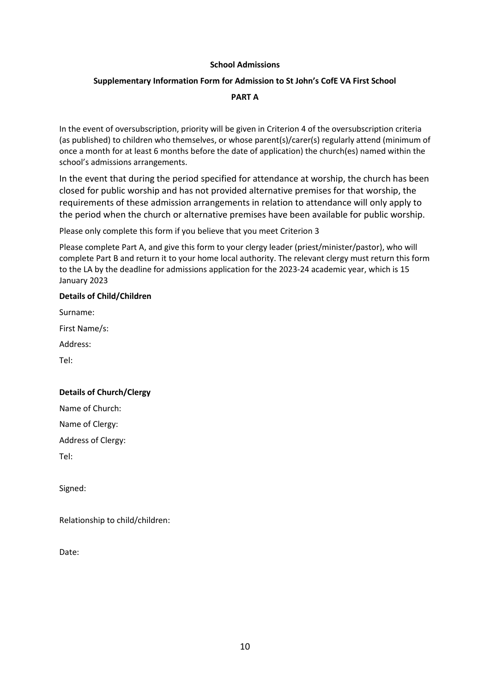#### **School Admissions**

#### **Supplementary Information Form for Admission to St John's CofE VA First School**

#### **PART A**

In the event of oversubscription, priority will be given in Criterion 4 of the oversubscription criteria (as published) to children who themselves, or whose parent(s)/carer(s) regularly attend (minimum of once a month for at least 6 months before the date of application) the church(es) named within the school's admissions arrangements.

In the event that during the period specified for attendance at worship, the church has been closed for public worship and has not provided alternative premises for that worship, the requirements of these admission arrangements in relation to attendance will only apply to the period when the church or alternative premises have been available for public worship.

Please only complete this form if you believe that you meet Criterion 3

Please complete Part A, and give this form to your clergy leader (priest/minister/pastor), who will complete Part B and return it to your home local authority. The relevant clergy must return this form to the LA by the deadline for admissions application for the 2023-24 academic year, which is 15 January 2023

#### **Details of Child/Children**

Surname:

First Name/s:

Address:

Tel:

#### **Details of Church/Clergy**

Name of Church:

Name of Clergy:

Address of Clergy:

Tel:

Signed:

Relationship to child/children:

Date: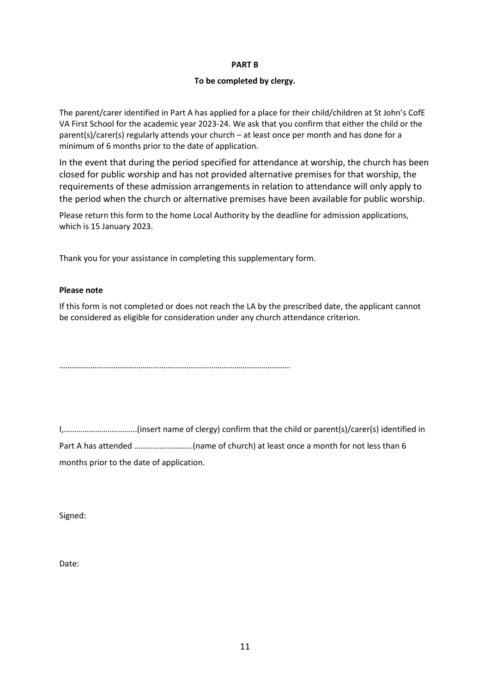#### **PART B**

#### **To be completed by clergy.**

The parent/carer identified in Part A has applied for a place for their child/children at St John's CofE VA First School for the academic year 2023-24. We ask that you confirm that either the child or the parent(s)/carer(s) regularly attends your church – at least once per month and has done for a minimum of 6 months prior to the date of application.

In the event that during the period specified for attendance at worship, the church has been closed for public worship and has not provided alternative premises for that worship, the requirements of these admission arrangements in relation to attendance will only apply to the period when the church or alternative premises have been available for public worship.

Please return this form to the home Local Authority by the deadline for admission applications, which is 15 January 2023.

Thank you for your assistance in completing this supplementary form.

#### **Please note**

If this form is not completed or does not reach the LA by the prescribed date, the applicant cannot be considered as eligible for consideration under any church attendance criterion.

…………………………………………………………………………………………………

I,……………………………..(insert name of clergy) confirm that the child or parent(s)/carer(s) identified in Part A has attended ……………………….(name of church) at least once a month for not less than 6 months prior to the date of application.

Signed:

Date: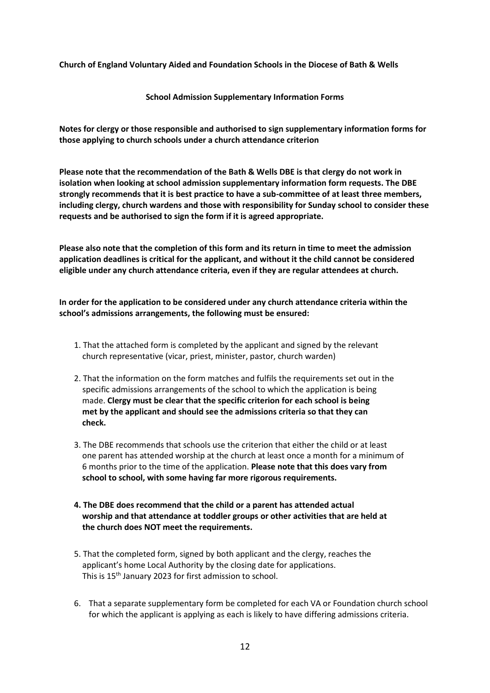**Church of England Voluntary Aided and Foundation Schools in the Diocese of Bath & Wells**

**School Admission Supplementary Information Forms**

**Notes for clergy or those responsible and authorised to sign supplementary information forms for those applying to church schools under a church attendance criterion**

**Please note that the recommendation of the Bath & Wells DBE is that clergy do not work in isolation when looking at school admission supplementary information form requests. The DBE strongly recommends that it is best practice to have a sub-committee of at least three members, including clergy, church wardens and those with responsibility for Sunday school to consider these requests and be authorised to sign the form if it is agreed appropriate.**

**Please also note that the completion of this form and its return in time to meet the admission application deadlines is critical for the applicant, and without it the child cannot be considered eligible under any church attendance criteria, even if they are regular attendees at church.**

**In order for the application to be considered under any church attendance criteria within the school's admissions arrangements, the following must be ensured:**

- 1. That the attached form is completed by the applicant and signed by the relevant church representative (vicar, priest, minister, pastor, church warden)
- 2. That the information on the form matches and fulfils the requirements set out in the specific admissions arrangements of the school to which the application is being made. **Clergy must be clear that the specific criterion for each school is being met by the applicant and should see the admissions criteria so that they can check.**
- 3. The DBE recommends that schools use the criterion that either the child or at least one parent has attended worship at the church at least once a month for a minimum of 6 months prior to the time of the application. **Please note that this does vary from school to school, with some having far more rigorous requirements.**
- **4. The DBE does recommend that the child or a parent has attended actual worship and that attendance at toddler groups or other activities that are held at the church does NOT meet the requirements.**
- 5. That the completed form, signed by both applicant and the clergy, reaches the applicant's home Local Authority by the closing date for applications. This is 15th January 2023 for first admission to school.
- 6. That a separate supplementary form be completed for each VA or Foundation church school for which the applicant is applying as each is likely to have differing admissions criteria.